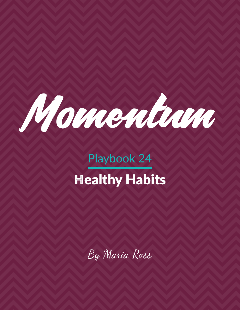

# Playbook 24 Healthy Habits

By Maria Ross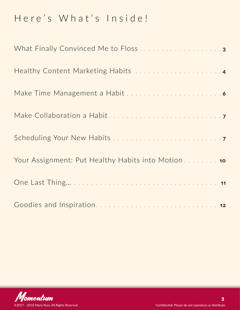### Here's What's Inside!

| What Finally Convinced Me to Floss 3                |
|-----------------------------------------------------|
|                                                     |
|                                                     |
|                                                     |
|                                                     |
| Your Assignment: Put Healthy Habits into Motion  10 |
|                                                     |
|                                                     |

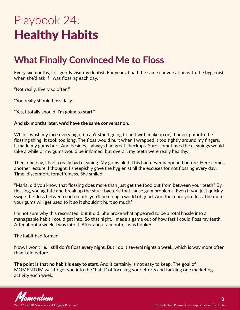## <span id="page-2-0"></span>Playbook 24: Healthy Habits

### **What Finally Convinced Me to Floss**

Every six months, I diligently visit my dentist. For years, I had the same conversation with the hygienist when she'd ask if I was flossing each day.

"Not really. Every so often."

"You really should floss daily."

"Yes, I totally should. I'm going to start."

#### **And six months later, we'd have the same conversation.**

While I wash my face every night (I can't stand going to bed with makeup on), I never got into the flossing thing. It took too long. The floss would hurt when I wrapped it too tightly around my fingers. It made my gums hurt. And besides, I always had great checkups. Sure, sometimes the cleanings would take a while or my gums would be inflamed, but overall, my teeth were really healthy.

Then, one day, I had a really bad cleaning. My gums bled. This had never happened before. Here comes another lecture, I thought. I sheepishly gave the hygienist all the excuses for not flossing every day: Time, discomfort, forgetfulness. She smiled.

"Maria, did you know that flossing does more than just get the food out from between your teeth? By flossing, you agitate and break up the stuck bacteria that cause gum problems. Even if you just quickly swipe the floss between each tooth, you'll be doing a world of good. And the more you floss, the more your gums will get used to it so it shouldn't hurt so much."

I'm not sure why this resonated, but it did. She broke what appeared to be a total hassle into a manageable habit I could get into. So that night, I made a game out of how fast I could floss my teeth. After about a week, I was into it. After about a month, I was hooked.

The habit had formed.

Now, I won't lie. I still don't floss every night. But I do it several nights a week, which is way more often than I did before.

**The point is that no habit is easy to start.** And it certainly is not easy to keep. The goal of MOMENTUM was to get you into the "habit" of focusing your efforts and tackling one marketing activity each week.

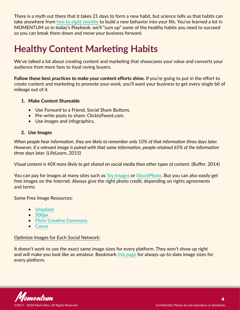<span id="page-3-0"></span>There is a myth out there that it takes 21 days to form a new habit, but science tells us that habits can take anywhere from **[two to eight months](http://jamesclear.com/new-habit)** to build a new behavior into your life. You've learned a lot in MOMENTUM so in today's Playbook, we'll "sum up" some of the healthy habits you need to succeed so you can break them down and move your business forward.

### **Healthy Content Marketing Habits**

We've talked a lot about creating content and marketing that showcases your value and converts your audience from mere fans to loyal raving buyers.

**Follow these best practices to make your content efforts shine.** If you're going to put in the effort to create content and marketing to promote your work, you'll want your business to get every single bit of mileage out of it.

#### **1. Make Content Shareable**

- Use Forward to a Friend, Social Share Buttons.
- Pre-write posts to share: ClicktoTweet.com.
- Use images and infographics.

#### **2. Use Images**

*When people hear information, they are likely to remember only 10% of that information three days later. However, if a relevant image is paired with that same information, people retained 65% of the information three days later.* (LifeLearn, 2015)

*Visual content is 40X more likely to get shared on social media than other types of content.* (Buffer, 2014)

You can pay for images at many sites such as **[Yay Images](https://www.yayimages.com/)** or **[iStockPhoto](http://www.istockphoto.com/)**. But you can also easily get free images on the Internet. Always give the right photo credit, depending on rights agreements and terms.

Some Free Image Resources:

- **[Unsplash](https://unsplash.com/)**
- **[500px](https://500px.com/)**
- **[Flickr Creative Commons](https://www.flickr.com/creativecommons)**
- **[Canva](http://www.canva.com/)**

#### Optimize Images for Each Social Network:

It doesn't work to use the exact same image sizes for every platform. They won't show up right and will make you look like an amateur. Bookmark **[this page](http://sproutsocial.com/insights/social-media-image-sizes-guide/)** for always up-to-date image sizes for every platform.

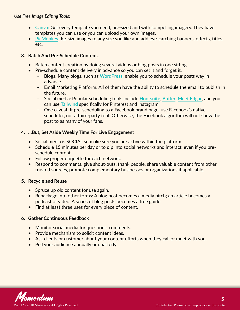*Use Free Image Editing Tools:*

- **[Canva](https://www.canva.com/)**: Get every template you need, pre-sized and with compelling imagery. They have templates you can use or you can upload your own images.
- **[PicMonkey](https://www.picmonkey.com/)**: Re-size images to any size you like and add eye-catching banners, effects, titles, etc.

#### **3. Batch And Pre-Schedule Content…**

- Batch content creation by doing several videos or blog posts in one sitting
- Pre-schedule content delivery in advance so you can set it and forget it:
	- Blogs: Many blogs, such as **[WordPress](https://wordpress.org/)**, enable you to schedule your posts way in advance
	- Email Marketing Platform: All of them have the ability to schedule the email to publish in the future.
	- Social media: Popular scheduling tools include **[Hootsuite](https://hootsuite.com/)**, **[Buffer](https://buffer.com/)**, **[Meet Edgar](https://meetedgar.com/)**, and you can use **[Tailwind](https://www.tailwindapp.com/)** specifically for Pinterest and Instagram
	- One caveat: If pre-scheduling to a Facebook brand page, use Facebook's native scheduler, not a third-party tool. Otherwise, the Facebook algorithm will not show the post to as many of your fans.

#### **4. …But, Set Aside Weekly Time For Live Engagement**

- Social media is SOCIAL so make sure you are active within the platform.
- Schedule 15 minutes per day or to dip into social networks and interact, even if you preschedule content.
- Follow proper etiquette for each network.
- Respond to comments, give shout-outs, thank people, share valuable content from other trusted sources, promote complementary businesses or organizations if applicable.

#### **5. Recycle and Reuse**

- Spruce up old content for use again.
- Repackage into other forms: A blog post becomes a media pitch; an article becomes a podcast or video. A series of blog posts becomes a free guide.
- Find at least three uses for every piece of content.

#### **6. Gather Continuous Feedback**

- Monitor social media for questions, comments.
- Provide mechanism to solicit content ideas.
- Ask clients or customer about your content efforts when they call or meet with you.
- Poll your audience annually or quarterly.

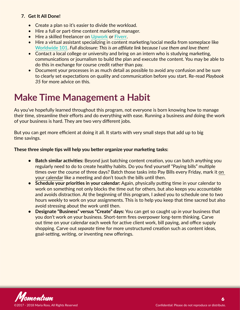#### <span id="page-5-0"></span>**7. Get It All Done!**

- Create a plan so it's easier to divide the workload.
- Hire a full or part-time content marketing manager.
- Hire a skilled freelancer on **[Upwork](https://www.upwork.com/)** or **[Fiverr](https://www.fiverr.com/)**.
- Hire a virtual assistant specializing in content marketing/social media from someplace like **[Worldwide 101](http://worldwide101.com/?a_aid=54adae56e2245)**. *Full disclosure: This is an affiliate link because I use them and love them!*
- Contact a local college or university and bring on an intern who is studying marketing, communications or journalism to build the plan and execute the content. You may be able to do this in exchange for course credit rather than pay.
- Document your processes in as much detail as possible to avoid any confusion and be sure to clearly set expectations on quality and communication before you start. Re-read *Playbook 35* for more advice on this.

### **Make Time Management a Habit**

As you've hopefully learned throughout this program, not everyone is born knowing how to manage their time, streamline their efforts and do everything with ease. Running a business *and* doing the work of your business is hard. They are two very different jobs.

But you can get more efficient at doing it all. It starts with very small steps that add up to big time savings.

#### **These three simple tips will help you better organize your marketing tasks:**

- **• Batch similar activities:** Beyond just batching content creation, you can batch anything you regularly need to do to create healthy habits. Do you find yourself "Paying bills" multiple times over the course of three days? Batch those tasks into Pay Bills every Friday, mark it on your calendar like a meeting and don't touch the bills until then.
- **• Schedule your priorities in your calendar:** Again, physically putting time in your calendar to work on something not only blocks the time out for others, but also keeps you accountable and avoids distraction. At the beginning of this program, I asked you to schedule one to two hours weekly to work on your assignments. This is to help you keep that time sacred but also avoid stressing about the work until then.
- **• Designate "Business" versus "Create" days:** You can get so caught up *in* your business that you don't work *on* your business. Short-term fires overpower long-term thinking. Carve out time on your calendar each week for active client work, bill paying, and office supply shopping. Carve out *separate* time for more unstructured creation such as content ideas, goal-setting, writing, or inventing new offerings.

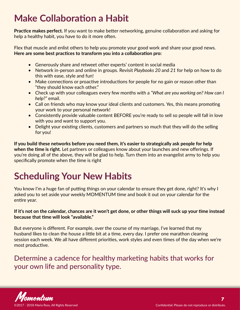### <span id="page-6-0"></span>**Make Collaboration a Habit**

**Practice makes perfect.** If you want to make better networking, genuine collaboration and asking for help a healthy habit, you have to do it more often.

Flex that muscle and enlist others to help you promote your good work and share your good news. **Here are some best practices to transform you into a collaboration pro:**

- Generously share and retweet other experts' content in social media
- Network in-person and online in groups. Revisit *Playbooks 20* and *21* for help on how to do this with ease, style and fun!
- Make connections or proactive introductions for people for no gain or reason other than "they should know each other."
- Check up with your colleagues every few months with a *"What are you working on? How can I help?"* email.
- Call on friends who may know your ideal clients and customers. Yes, this means promoting your work to your personal network!
- Consistently provide valuable content BEFORE you're ready to sell so people will fall in love with you and want to support you.
- Delight your existing clients, customers and partners so much that they will do the selling for you!

**If you build these networks before you need them, it's easier to strategically ask people for help when the time is right.** Let partners or colleagues know about your launches and new offerings. If you're doing all of the above, they will be glad to help. Turn them into an evangelist army to help you specifically promote when the time is right

### **Scheduling Your New Habits**

You know I'm a huge fan of putting things on your calendar to ensure they get done, right? It's why I asked you to set aside your weekly MOMENTUM time and book it out on your calendar for the entire year.

**If it's not on the calendar, chances are it won't get done, or other things will suck up your time instead because that time will look "available."**

But everyone is different. For example, over the course of my marriage, I've learned that my husband likes to clean the house a little bit at a time, every day. I prefer one marathon cleaning session each week. We all have different priorities, work styles and even times of the day when we're most productive.

Determine a cadence for healthy marketing habits that works for your own life and personality type.

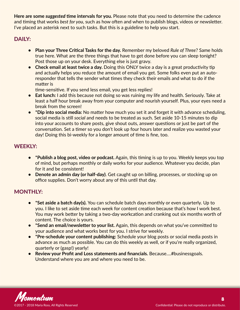**Here are some** *suggested* **time intervals for you.** Please note that you need to determine the cadence and timing that works *best for you*, such as how often and when to publish blogs, videos or newsletter. I've placed an asterisk next to such tasks. But this is a guideline to help you start.

#### DAILY:

- **• Plan your Three Critical Tasks for the day.** Remember my beloved *Rule of Three*? Same holds true here. What are the three things that have to get done before you can sleep tonight? Post those up on your desk. Everything else is just gravy.
- **•** Check email at least twice a day. Doing this ONLY twice a day is a great productivity tip and actually helps you reduce the amount of email you get. Some folks even put an autoresponder that tells the sender what times they check their emails and what to do if the matter is

time-sensitive. If you send less email, you get less replies!

- **• Eat lunch:** I add this because not doing so was ruining my life and health. Seriously. Take at least a half hour break away from your computer and nourish yourself. Plus, your eyes need a break from the screen!
- **• \*Dip into social media:** No matter how much you set it and forget it with advance scheduling, social media is still *social* and needs to be treated as such. Set aside 10-15 minutes to dip into your accounts to share posts, give shout outs, answer questions or just be part of the conversation. Set a timer so you don't look up four hours later and realize you wasted your day! Doing this bi-weekly for a longer amount of time is fine, too.

#### WEEKLY:

- **• \*Publish a blog post, video or podcast.** Again, this timing is up to you. Weekly keeps you top of mind, but perhaps monthly or daily works for your audience. Whatever you decide, plan for it and be consistent!
- **• Denote an admin day (or half-day)**. Get caught up on billing, processes, or stocking up on office supplies. Don't worry about any of this until that day.

#### MONTHLY:

- **• \*Set aside a batch day(s).** You can schedule batch days monthly or even quarterly. Up to you. I like to set aside time each week for content creation because that's how I work best. You may work better by taking a two-day workcation and cranking out six months worth of content. The choice is yours.
- **•** \*Send an email/newsletter to your list. Again, this depends on what you've committed to your audience and what works best for you. I strive for weekly.
- **• \*Pre-schedule your content publishing:** Schedule your blog posts or social media posts in advance as much as possible. You can do this weekly as well, or if you're really organized, quarterly or (gasp!) yearly!
- **• Review your Profit and Loss statements and financials.** Because….#businessgoals. Understand where you are and where you need to be.

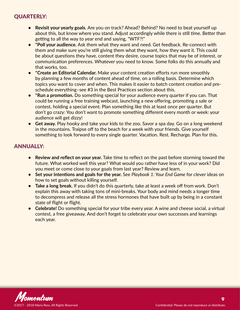#### QUARTERLY:

- **• Revisit your yearly goals.** Are you on track? Ahead? Behind? No need to beat yourself up about this, but know where you stand. Adjust accordingly while there is still time. Better than getting to all the way to year end and saying, "WTF?!"
- **• \*Poll your audience.** Ask them what they want and need. Get feedback. Re-connect with them and make sure you're still giving them what they want, how they want it. This could be about questions they have, content they desire, course topics that may be of interest, or communication preferences. Whatever you need to know. Some folks do this annually and that works, too.
- **• \*Create an Editorial Calendar.** Make your content creation efforts run more smoothly by planning a few months of content ahead of time, on a rolling basis. Determine which topics you want to cover and when. This makes it easier to batch content creation and preschedule everything–see #3 in the Best Practices section about this.
- **• \*Run a promotion.** Do something special for your audience every quarter if you can. That could be running a free training webcast, launching a new offering, promoting a sale or contest, holding a special event. Plan something like this at least once per quarter. But don't go crazy: You don't want to promote something different every month or week: your audience will get dizzy!
- **• Get away.** Play hooky and take your kids to the zoo. Savor a spa day. Go on a long weekend in the mountains. Traipse off to the beach for a week with your friends. Give yourself something to look forward to every single quarter. Vacation. Rest. Recharge. Plan for this.

#### ANNUALLY:

- **• Review and reflect on your year.** Take time to reflect on the past before storming toward the future. What worked well this year? What would you rather have less of in your work? Did you meet or come close to your goals from last year? Review and learn.
- **• Set your intentions and goals for the year.** See *Playbook 1: Your End Game* for clever ideas on how to set goals without killing yourself.
- **• Take a long break.** If you didn't do this quarterly, take at least a week off from work. Don't explain this away with taking tons of mini-breaks. Your body and mind needs a longer time to decompress and release all the stress hormones that have built up by being in a constant state of flight or flight.
- **• Celebrate!** Do something special for your tribe every year. A wine and cheese social, a virtual contest, a free giveaway. And don't forget to celebrate your own successes and learnings each year.

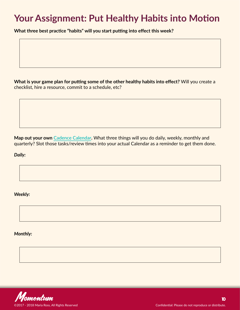### <span id="page-9-0"></span>**Your Assignment: Put Healthy Habits into Motion**

**What three best practice "habits" will you start putting into effect this week?** 

**What is your game plan for putting some of the other healthy habits into effect?** Will you create a checklist, hire a resource, commit to a schedule, etc?

**Map out your own [Cadence Calendar](#page-6-0).** What three things will you do daily, weekly, monthly and quarterly? Slot those tasks/review times into your actual Calendar as a reminder to get them done.

*Daily:* 

*Weekly:*

*Monthly:*

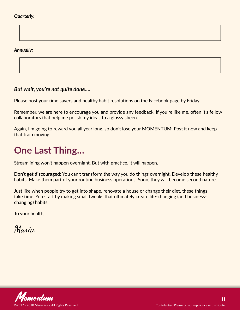#### <span id="page-10-0"></span>*Quarterly:*

*Annually:*

#### *But wait, you're not quite done….*

Please post your time savers and healthy habit resolutions on the Facebook page by Friday.

Remember, we are here to encourage you and provide any feedback. If you're like me, often it's fellow collaborators that help me polish my ideas to a glossy sheen.

Again, I'm going to reward you all year long, so don't lose your MOMENTUM: Post it now and keep that train moving!

### **One Last Thing…**

Streamlining won't happen overnight. But with practice, it will happen.

**Don't get discouraged:** You can't transform the way you do things overnight. Develop these healthy habits. Make them part of your routine business operations. Soon, they will become second nature.

Just like when people try to get into shape, renovate a house or change their diet, these things take time. You start by making small tweaks that ultimately create life-changing (and businesschanging) habits.

To your health,

Maria